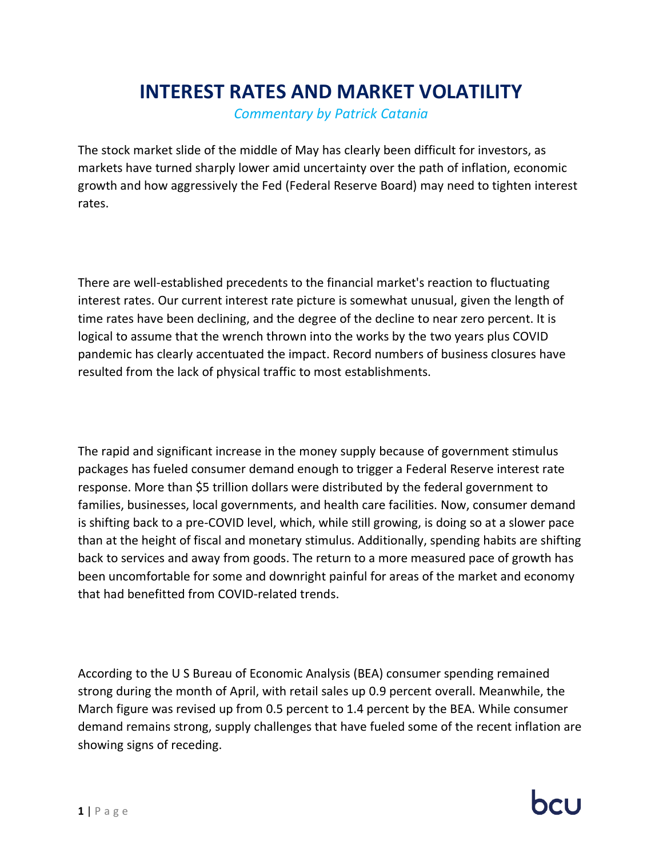## **INTEREST RATES AND MARKET VOLATILITY**

*Commentary by Patrick Catania*

The stock market slide of the middle of May has clearly been difficult for investors, as markets have turned sharply lower amid uncertainty over the path of inflation, economic growth and how aggressively the Fed (Federal Reserve Board) may need to tighten interest rates.

There are well-established precedents to the financial market's reaction to fluctuating interest rates. Our current interest rate picture is somewhat unusual, given the length of time rates have been declining, and the degree of the decline to near zero percent. It is logical to assume that the wrench thrown into the works by the two years plus COVID pandemic has clearly accentuated the impact. Record numbers of business closures have resulted from the lack of physical traffic to most establishments.

The rapid and significant increase in the money supply because of government stimulus packages has fueled consumer demand enough to trigger a Federal Reserve interest rate response. More than \$5 trillion dollars were distributed by the federal government to families, businesses, local governments, and health care facilities. Now, consumer demand is shifting back to a pre-COVID level, which, while still growing, is doing so at a slower pace than at the height of fiscal and monetary stimulus. Additionally, spending habits are shifting back to services and away from goods. The return to a more measured pace of growth has been uncomfortable for some and downright painful for areas of the market and economy that had benefitted from COVID-related trends.

According to the U S Bureau of Economic Analysis (BEA) consumer spending remained strong during the month of April, with retail sales up 0.9 percent overall. Meanwhile, the March figure was revised up from 0.5 percent to 1.4 percent by the BEA. While consumer demand remains strong, supply challenges that have fueled some of the recent inflation are showing signs of receding.